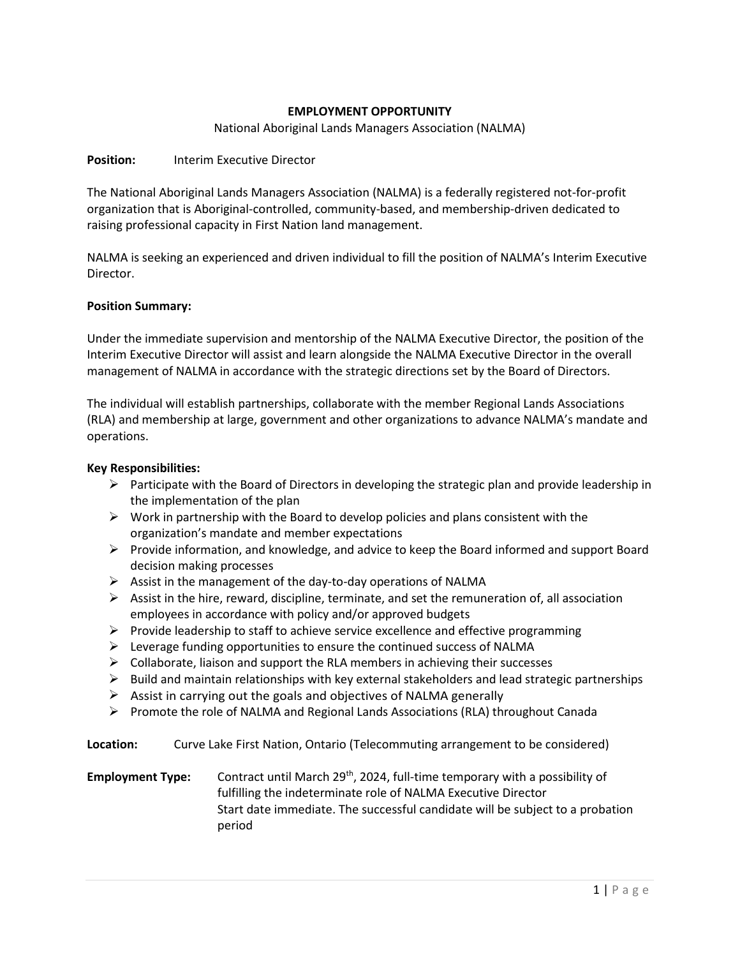# **EMPLOYMENT OPPORTUNITY**

National Aboriginal Lands Managers Association (NALMA)

#### **Position:** Interim Executive Director

The National Aboriginal Lands Managers Association (NALMA) is a federally registered not-for-profit organization that is Aboriginal-controlled, community-based, and membership-driven dedicated to raising professional capacity in First Nation land management.

NALMA is seeking an experienced and driven individual to fill the position of NALMA's Interim Executive Director.

## **Position Summary:**

Under the immediate supervision and mentorship of the NALMA Executive Director, the position of the Interim Executive Director will assist and learn alongside the NALMA Executive Director in the overall management of NALMA in accordance with the strategic directions set by the Board of Directors.

The individual will establish partnerships, collaborate with the member Regional Lands Associations (RLA) and membership at large, government and other organizations to advance NALMA's mandate and operations.

## **Key Responsibilities:**

- $\triangleright$  Participate with the Board of Directors in developing the strategic plan and provide leadership in the implementation of the plan
- $\triangleright$  Work in partnership with the Board to develop policies and plans consistent with the organization's mandate and member expectations
- $\triangleright$  Provide information, and knowledge, and advice to keep the Board informed and support Board decision making processes
- $\triangleright$  Assist in the management of the day-to-day operations of NALMA
- $\triangleright$  Assist in the hire, reward, discipline, terminate, and set the remuneration of, all association employees in accordance with policy and/or approved budgets
- $\triangleright$  Provide leadership to staff to achieve service excellence and effective programming
- $\triangleright$  Leverage funding opportunities to ensure the continued success of NALMA
- $\triangleright$  Collaborate, liaison and support the RLA members in achieving their successes
- $\triangleright$  Build and maintain relationships with key external stakeholders and lead strategic partnerships
- $\triangleright$  Assist in carrying out the goals and objectives of NALMA generally
- Promote the role of NALMA and Regional Lands Associations (RLA) throughout Canada

**Location:** Curve Lake First Nation, Ontario (Telecommuting arrangement to be considered)

**Employment Type:** Contract until March 29<sup>th</sup>, 2024, full-time temporary with a possibility of fulfilling the indeterminate role of NALMA Executive Director Start date immediate. The successful candidate will be subject to a probation period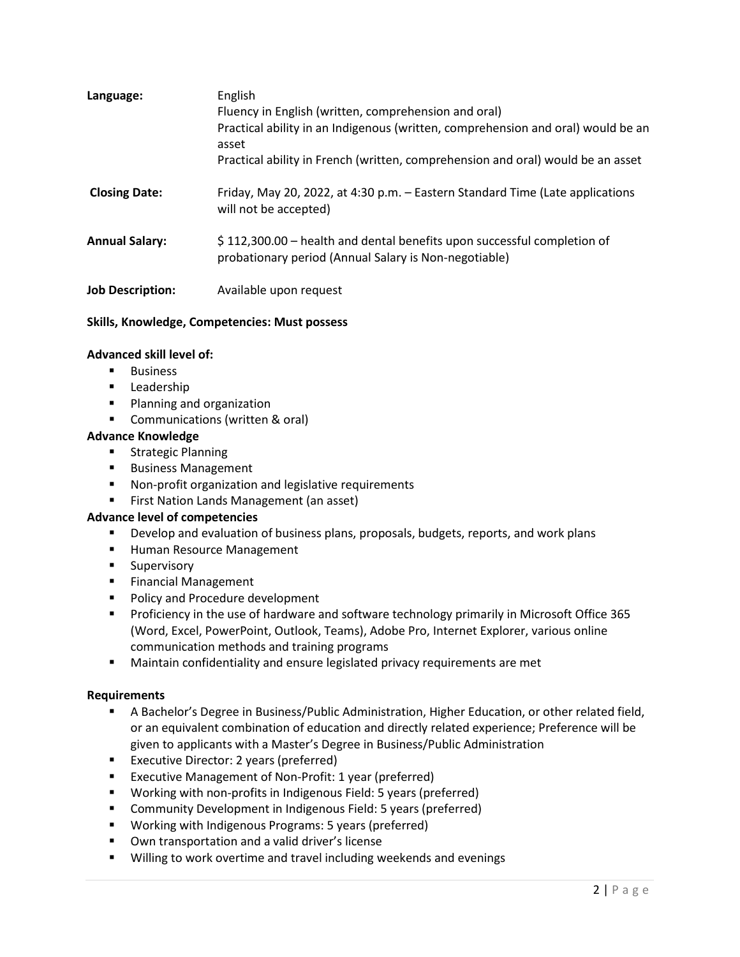| Language:               | English<br>Fluency in English (written, comprehension and oral)<br>Practical ability in an Indigenous (written, comprehension and oral) would be an<br>asset<br>Practical ability in French (written, comprehension and oral) would be an asset |
|-------------------------|-------------------------------------------------------------------------------------------------------------------------------------------------------------------------------------------------------------------------------------------------|
| <b>Closing Date:</b>    | Friday, May 20, 2022, at 4:30 p.m. - Eastern Standard Time (Late applications<br>will not be accepted)                                                                                                                                          |
| <b>Annual Salary:</b>   | \$112,300.00 – health and dental benefits upon successful completion of<br>probationary period (Annual Salary is Non-negotiable)                                                                                                                |
| <b>Job Description:</b> | Available upon request                                                                                                                                                                                                                          |

# **Skills, Knowledge, Competencies: Must possess**

## **Advanced skill level of:**

- **Business**
- **Leadership**
- **Planning and organization**
- **Communications (written & oral)**

## **Advance Knowledge**

- **Strategic Planning**
- **Business Management**
- Non-profit organization and legislative requirements
- **First Nation Lands Management (an asset)**

#### **Advance level of competencies**

- **Physion and Evaluation of business plans, proposals, budgets, reports, and work plans**
- **Human Resource Management**
- **Supervisory**
- **Financial Management**
- **Policy and Procedure development**
- **Proficiency in the use of hardware and software technology primarily in Microsoft Office 365** (Word, Excel, PowerPoint, Outlook, Teams), Adobe Pro, Internet Explorer, various online communication methods and training programs
- **Maintain confidentiality and ensure legislated privacy requirements are met**

#### **Requirements**

- A Bachelor's Degree in Business/Public Administration, Higher Education, or other related field, or an equivalent combination of education and directly related experience; Preference will be given to applicants with a Master's Degree in Business/Public Administration
- **Executive Director: 2 years (preferred)**
- **EXECUTIVE Management of Non-Profit: 1 year (preferred)**
- Working with non-profits in Indigenous Field: 5 years (preferred)
- **E** Community Development in Indigenous Field: 5 years (preferred)
- Working with Indigenous Programs: 5 years (preferred)
- **•** Own transportation and a valid driver's license
- **Willing to work overtime and travel including weekends and evenings**